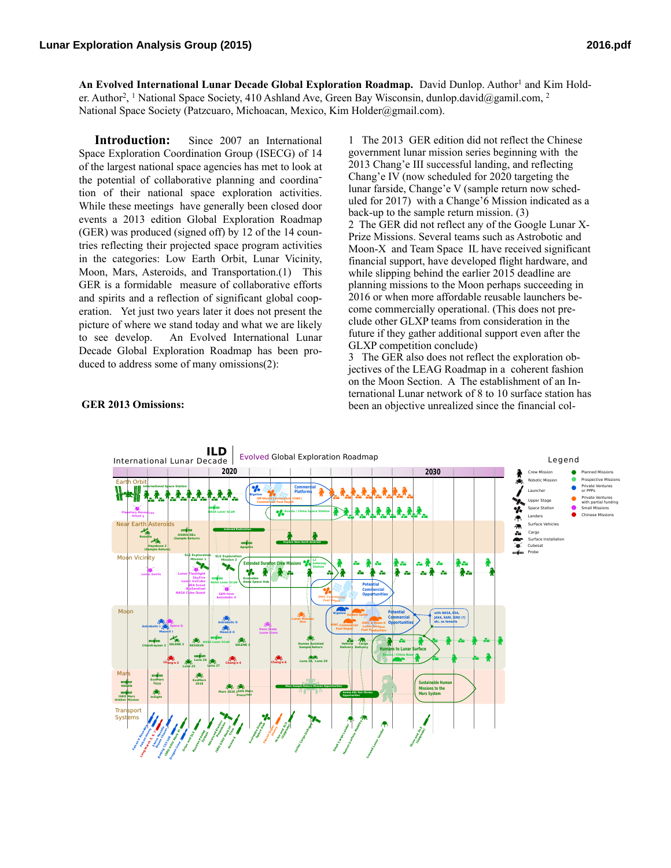An Evolved International Lunar Decade Global Exploration Roadmap. David Dunlop. Author<sup>1</sup> and Kim Holder. Author2, 1 National Space Society, 410 Ashland Ave, Green Bay Wisconsin, dunlop.david@gamil.com, 2 National Space Society (Patzcuaro, Michoacan, Mexico, Kim Holder@gmail.com).

**Introduction:** Since 2007 an International Space Exploration Coordination Group (ISECG) of 14 of the largest national space agencies has met to look at the potential of collaborative planning and coordination of their national space exploration activities. While these meetings have generally been closed door events a 2013 edition Global Exploration Roadmap (GER) was produced (signed off) by 12 of the 14 countries reflecting their projected space program activities in the categories: Low Earth Orbit, Lunar Vicinity, Moon, Mars, Asteroids, and Transportation.(1) This GER is a formidable measure of collaborative efforts and spirits and a reflection of significant global cooperation. Yet just two years later it does not present the picture of where we stand today and what we are likely to see develop. An Evolved International Lunar Decade Global Exploration Roadmap has been produced to address some of many omissions(2):

1 The 2013 GER edition did not reflect the Chinese government lunar mission series beginning with the 2013 Chang'e III successful landing, and reflecting Chang'e IV (now scheduled for 2020 targeting the lunar farside, Change'e V (sample return now scheduled for 2017) with a Change'6 Mission indicated as a back-up to the sample return mission. (3) 2 The GER did not reflect any of the Google Lunar X-Prize Missions. Several teams such as Astrobotic and Moon-X and Team Space IL have received significant financial support, have developed flight hardware, and while slipping behind the earlier 2015 deadline are planning missions to the Moon perhaps succeeding in 2016 or when more affordable reusable launchers become commercially operational. (This does not preclude other GLXP teams from consideration in the future if they gather additional support even after the GLXP competition conclude)

3 The GER also does not reflect the exploration objectives of the LEAG Roadmap in a coherent fashion on the Moon Section. A The establishment of an International Lunar network of 8 to 10 surface station has been an objective unrealized since the financial col-



## **GER 2013 Omissions:**